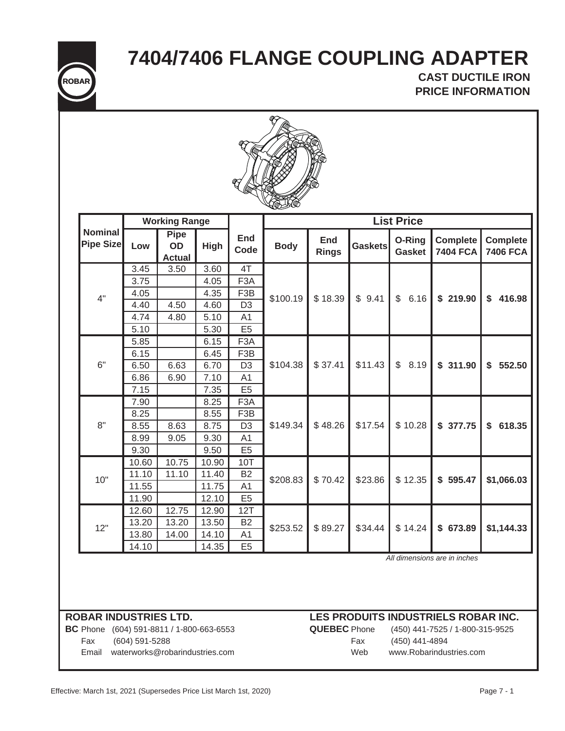**7404/7406 FLANGE COUPLING ADAPTER**



**CAST DUCTILE IRON PRICE INFORMATION**



|                                    | <b>Working Range</b> |                                           |             | <b>List Price</b>  |             |                            |                |                         |                                    |                                    |  |
|------------------------------------|----------------------|-------------------------------------------|-------------|--------------------|-------------|----------------------------|----------------|-------------------------|------------------------------------|------------------------------------|--|
| <b>Nominal</b><br><b>Pipe Size</b> | Low                  | <b>Pipe</b><br><b>OD</b><br><b>Actual</b> | <b>High</b> | <b>End</b><br>Code | <b>Body</b> | <b>End</b><br><b>Rings</b> | <b>Gaskets</b> | O-Ring<br><b>Gasket</b> | <b>Complete</b><br><b>7404 FCA</b> | <b>Complete</b><br><b>7406 FCA</b> |  |
|                                    | 3.45                 | 3.50                                      | 3.60        | 4T                 | \$100.19    | \$18.39                    | \$9.41         | $\mathfrak{L}$<br>6.16  | \$219.90                           | \$<br>416.98                       |  |
|                                    | 3.75                 |                                           | 4.05        | F <sub>3</sub> A   |             |                            |                |                         |                                    |                                    |  |
| 4"                                 | 4.05                 |                                           | 4.35        | F <sub>3</sub> B   |             |                            |                |                         |                                    |                                    |  |
|                                    | 4.40                 | 4.50                                      | 4.60        | D <sub>3</sub>     |             |                            |                |                         |                                    |                                    |  |
|                                    | 4.74                 | 4.80                                      | 5.10        | A <sub>1</sub>     |             |                            |                |                         |                                    |                                    |  |
|                                    | 5.10                 |                                           | 5.30        | E <sub>5</sub>     |             |                            |                |                         |                                    |                                    |  |
|                                    | 5.85                 |                                           | 6.15        | F <sub>3</sub> A   |             |                            | \$11.43        | \$<br>8.19              | \$311.90                           | \$<br>552.50                       |  |
|                                    | 6.15                 |                                           | 6.45        | F <sub>3</sub> B   | \$104.38    | \$37.41                    |                |                         |                                    |                                    |  |
| 6"                                 | 6.50                 | 6.63                                      | 6.70        | D <sub>3</sub>     |             |                            |                |                         |                                    |                                    |  |
|                                    | 6.86                 | 6.90                                      | 7.10        | A1                 |             |                            |                |                         |                                    |                                    |  |
|                                    | 7.15                 |                                           | 7.35        | E <sub>5</sub>     |             |                            |                |                         |                                    |                                    |  |
|                                    | 7.90                 |                                           | 8.25        | F <sub>3</sub> A   |             | \$48.26                    | \$17.54        | \$10.28                 |                                    | \$<br>618.35                       |  |
|                                    | 8.25                 |                                           | 8.55        | F <sub>3</sub> B   | \$149.34    |                            |                |                         |                                    |                                    |  |
| 8"                                 | 8.55                 | 8.63                                      | 8.75        | D <sub>3</sub>     |             |                            |                |                         | \$377.75                           |                                    |  |
|                                    | 8.99                 | 9.05                                      | 9.30        | A <sub>1</sub>     |             |                            |                |                         |                                    |                                    |  |
|                                    | 9.30                 |                                           | 9.50        | E <sub>5</sub>     |             |                            |                |                         |                                    |                                    |  |
|                                    | 10.60                | 10.75                                     | 10.90       | 10T                | \$208.83    | \$70.42                    | \$23.86        | \$12.35                 | \$595.47                           | \$1,066.03                         |  |
| 10"                                | 11.10                | 11.10                                     | 11.40       | <b>B2</b>          |             |                            |                |                         |                                    |                                    |  |
|                                    | 11.55                |                                           | 11.75       | A <sub>1</sub>     |             |                            |                |                         |                                    |                                    |  |
|                                    | 11.90                |                                           | 12.10       | E <sub>5</sub>     |             |                            |                |                         |                                    |                                    |  |
|                                    | 12.60                | 12.75                                     | 12.90       | 12T                | \$253.52    | \$89.27                    | \$34.44        | \$14.24                 | \$673.89                           | \$1,144.33                         |  |
| 12"                                | 13.20                | 13.20                                     | 13.50       | <b>B2</b>          |             |                            |                |                         |                                    |                                    |  |
|                                    | 13.80                | 14.00                                     | 14.10       | A <sub>1</sub>     |             |                            |                |                         |                                    |                                    |  |
|                                    | 14.10                |                                           | 14.35       | E <sub>5</sub>     |             |                            |                |                         |                                    |                                    |  |

*All dimensions are in inches*

**BC** Phone (604) 591-8811 / 1-800-663-6553 **QUEBEC** Phone (450) 441-7525 / 1-800-315-9525 Fax (604) 591-5288 Fax (450) 441-4894

Email waterworks@robarindustries.com Web www.Robarindustries.com

# **ROBAR INDUSTRIES LTD. LES PRODUITS INDUSTRIELS ROBAR INC.**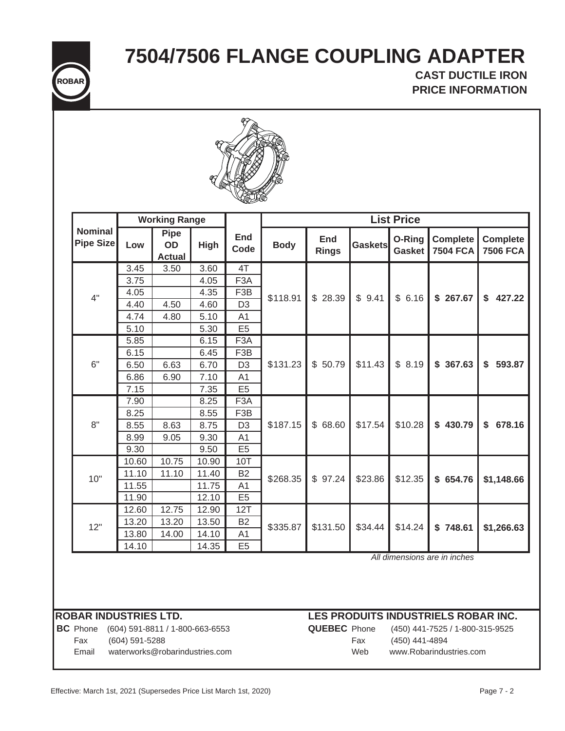**7504/7506 FLANGE COUPLING ADAPTER**



# **CAST DUCTILE IRON PRICE INFORMATION**



|                             | <b>Working Range</b> |                                           |             |                    | <b>List Price</b> |                     |                |                         |                                    |                                    |  |
|-----------------------------|----------------------|-------------------------------------------|-------------|--------------------|-------------------|---------------------|----------------|-------------------------|------------------------------------|------------------------------------|--|
| <b>Nominal</b><br>Pipe Size | Low                  | <b>Pipe</b><br><b>OD</b><br><b>Actual</b> | <b>High</b> | <b>End</b><br>Code | <b>Body</b>       | End<br><b>Rings</b> | <b>Gaskets</b> | O-Ring<br><b>Gasket</b> | <b>Complete</b><br><b>7504 FCA</b> | <b>Complete</b><br><b>7506 FCA</b> |  |
|                             | 3.45                 | 3.50                                      | 3.60        | 4T                 | \$118.91          | \$28.39             | \$9.41         | \$6.16                  | \$267.67                           | \$<br>427.22                       |  |
|                             | 3.75                 |                                           | 4.05        | F <sub>3</sub> A   |                   |                     |                |                         |                                    |                                    |  |
| 4"                          | 4.05                 |                                           | 4.35        | F <sub>3</sub> B   |                   |                     |                |                         |                                    |                                    |  |
|                             | 4.40                 | 4.50                                      | 4.60        | D <sub>3</sub>     |                   |                     |                |                         |                                    |                                    |  |
|                             | 4.74                 | 4.80                                      | 5.10        | A <sub>1</sub>     |                   |                     |                |                         |                                    |                                    |  |
|                             | 5.10                 |                                           | 5.30        | E <sub>5</sub>     |                   |                     |                |                         |                                    |                                    |  |
|                             | 5.85                 |                                           | 6.15        | F <sub>3</sub> A   |                   | \$50.79             | \$11.43        | \$8.19                  | \$367.63                           | \$593.87                           |  |
|                             | 6.15                 |                                           | 6.45        | F <sub>3</sub> B   | \$131.23          |                     |                |                         |                                    |                                    |  |
| 6"                          | 6.50                 | 6.63                                      | 6.70        | D <sub>3</sub>     |                   |                     |                |                         |                                    |                                    |  |
|                             | 6.86                 | 6.90                                      | 7.10        | A1                 |                   |                     |                |                         |                                    |                                    |  |
|                             | 7.15                 |                                           | 7.35        | E <sub>5</sub>     |                   |                     |                |                         |                                    |                                    |  |
|                             | 7.90                 |                                           | 8.25        | F <sub>3</sub> A   |                   | \$68.60             |                | \$10.28                 |                                    | \$<br>678.16                       |  |
|                             | 8.25                 |                                           | 8.55        | F <sub>3</sub> B   |                   |                     | \$17.54        |                         |                                    |                                    |  |
| 8"                          | 8.55                 | 8.63                                      | 8.75        | D <sub>3</sub>     | \$187.15          |                     |                |                         | \$430.79                           |                                    |  |
|                             | 8.99                 | 9.05                                      | 9.30        | A <sub>1</sub>     |                   |                     |                |                         |                                    |                                    |  |
|                             | 9.30                 |                                           | 9.50        | E <sub>5</sub>     |                   |                     |                |                         |                                    |                                    |  |
|                             | 10.60                | 10.75                                     | 10.90       | 10T                | \$268.35          | \$97.24             | \$23.86        | \$12.35                 | \$654.76                           | \$1,148.66                         |  |
| 10"                         | 11.10                | 11.10                                     | 11.40       | <b>B2</b>          |                   |                     |                |                         |                                    |                                    |  |
|                             | 11.55                |                                           | 11.75       | A <sub>1</sub>     |                   |                     |                |                         |                                    |                                    |  |
|                             | 11.90                |                                           | 12.10       | E <sub>5</sub>     |                   |                     |                |                         |                                    |                                    |  |
|                             | 12.60                | 12.75                                     | 12.90       | 12T                | \$335.87          | \$131.50            | \$34.44        | \$14.24                 | \$748.61                           | \$1,266.63                         |  |
| 12"                         | 13.20                | 13.20                                     | 13.50       | <b>B2</b>          |                   |                     |                |                         |                                    |                                    |  |
|                             | 13.80                | 14.00                                     | 14.10       | A <sub>1</sub>     |                   |                     |                |                         |                                    |                                    |  |
|                             | 14.10                |                                           | 14.35       | E <sub>5</sub>     |                   |                     |                |                         |                                    |                                    |  |

*All dimensions are in inches*

## **ROBAR INDUSTRIES LTD.**

Phone (604) 591-8811 / 1-800-663-6553 **QUEBEC** Phone (450) 441-7525 / 1-800-315-9525 **BC** Fax (604) 591-5288 Fax (450) 441-4894

**LES PRODUITS INDUSTRIELS ROBAR INC.**

Email waterworks@robarindustries.com Web www.Robarindustries.com